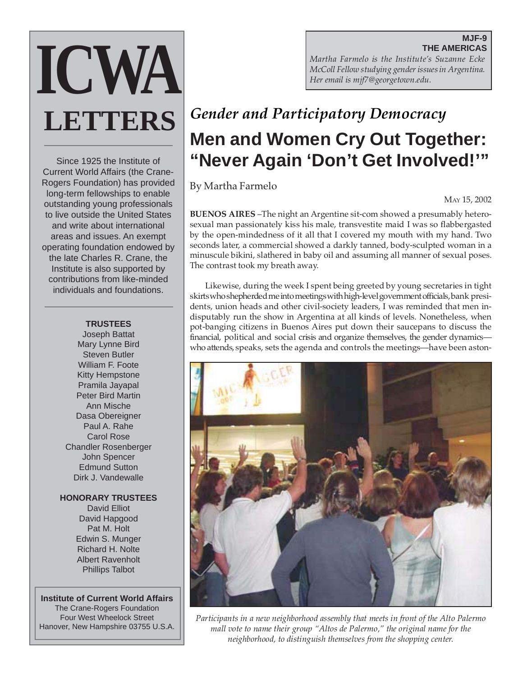# **ICWA LETTERS**

Since 1925 the Institute of Current World Affairs (the Crane-Rogers Foundation) has provided long-term fellowships to enable outstanding young professionals to live outside the United States and write about international areas and issues. An exempt operating foundation endowed by the late Charles R. Crane, the Institute is also supported by contributions from like-minded individuals and foundations.

#### **TRUSTEES**

Joseph Battat Mary Lynne Bird Steven Butler William F. Foote Kitty Hempstone Pramila Jayapal Peter Bird Martin Ann Mische Dasa Obereigner Paul A. Rahe Carol Rose Chandler Rosenberger John Spencer Edmund Sutton Dirk J. Vandewalle

#### **HONORARY TRUSTEES**

David Elliot David Hapgood Pat M. Holt Edwin S. Munger Richard H. Nolte Albert Ravenholt Phillips Talbot

**Institute of Current World Affairs** The Crane-Rogers Foundation Four West Wheelock Street Hanover, New Hampshire 03755 U.S.A.

**MJF-9 THE AMERICAS** *Martha Farmelo is the Institute's Suzanne Ecke McColl Fellow studying gender issues in Argentina. Her email is mjf7@georgetown.edu.*

# *Gender and Participatory Democracy* **Men and Women Cry Out Together: "Never Again 'Don't Get Involved!'"**

By Martha Farmelo

MAY 15, 2002

**BUENOS AIRES** –The night an Argentine sit-com showed a presumably heterosexual man passionately kiss his male, transvestite maid I was so flabbergasted by the open-mindedness of it all that I covered my mouth with my hand. Two seconds later, a commercial showed a darkly tanned, body-sculpted woman in a minuscule bikini, slathered in baby oil and assuming all manner of sexual poses. The contrast took my breath away.

Likewise, during the week I spent being greeted by young secretaries in tight skirts who shepherded me into meetings with high-level government officials, bank presidents, union heads and other civil-society leaders, I was reminded that men indisputably run the show in Argentina at all kinds of levels. Nonetheless, when pot-banging citizens in Buenos Aires put down their saucepans to discuss the financial, political and social crisis and organize themselves, the gender dynamics who attends, speaks, sets the agenda and controls the meetings—have been aston-



*Participants in a new neighborhood assembly that meets in front of the Alto Palermo mall vote to name their group "Altos de Palermo," the original name for the neighborhood, to distinguish themselves from the shopping center.*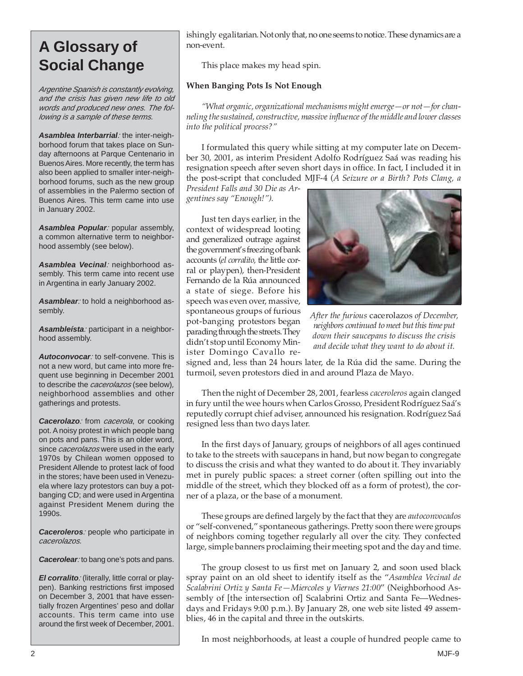# **A Glossary of Social Change**

Argentine Spanish is constantly evolving, and the crisis has given new life to old words and produced new ones. The following is a sample of these terms.

**Asamblea Interbarrial**: the inter-neighborhood forum that takes place on Sunday afternoons at Parque Centenario in Buenos Aires. More recently, the term has also been applied to smaller inter-neighborhood forums, such as the new group of assemblies in the Palermo section of Buenos Aires. This term came into use in January 2002.

**Asamblea Popular**: popular assembly, a common alternative term to neighborhood assembly (see below).

**Asamblea Vecinal**: neighborhood assembly. This term came into recent use in Argentina in early January 2002.

**Asamblear**: to hold a neighborhood assembly.

**Asambleísta**: participant in a neighborhood assembly.

**Autoconvocar**: to self-convene. This is not a new word, but came into more frequent use beginning in December 2001 to describe the *cacerolazos* (see below), neighborhood assemblies and other gatherings and protests.

Cacerolazo: from cacerola, or cooking pot. A noisy protest in which people bang on pots and pans. This is an older word, since *cacerolazos* were used in the early 1970s by Chilean women opposed to President Allende to protest lack of food in the stores; have been used in Venezuela where lazy protestors can buy a potbanging CD; and were used in Argentina against President Menem during the 1990s.

**Caceroleros**: people who participate in cacerolazos.

**Cacerolear**: to bang one's pots and pans.

**El corralito**: (literally, little corral or playpen). Banking restrictions first imposed on December 3, 2001 that have essentially frozen Argentines' peso and dollar accounts. This term came into use around the first week of December, 2001. ishingly egalitarian. Not only that, no one seems to notice. These dynamics are a non-event.

This place makes my head spin.

#### **When Banging Pots Is Not Enough**

*"What organic, organizational mechanisms might emerge—or not—for channeling the sustained, constructive, massive influence of the middle and lower classes into the political process?"*

I formulated this query while sitting at my computer late on December 30, 2001, as interim President Adolfo Rodríguez Saá was reading his resignation speech after seven short days in office. In fact, I included it in the post-script that concluded MJF-4 (*A Seizure or a Birth? Pots Clang, a*

*President Falls and 30 Die as Argentines say "Enough!").*

Just ten days earlier, in the context of widespread looting and generalized outrage against the government's freezing of bank accounts (*el corralito,* th*e* little corral or playpen), then-President Fernando de la Rúa announced a state of siege. Before his speech was even over, massive, spontaneous groups of furious pot-banging protestors began parading through the streets. They didn't stop until Economy Minister Domingo Cavallo re-



*After the furious* cacerolazos *of December, neighbors continued to meet but this time put down their saucepans to discuss the crisis and decide what they want to do about it.*

signed and, less than 24 hours later, de la Rúa did the same. During the turmoil, seven protestors died in and around Plaza de Mayo.

Then the night of December 28, 2001, fearless *caceroleros* again clanged in fury until the wee hours when Carlos Grosso, President Rodríguez Saá's reputedly corrupt chief adviser, announced his resignation. Rodríguez Saá resigned less than two days later.

In the first days of January, groups of neighbors of all ages continued to take to the streets with saucepans in hand, but now began to congregate to discuss the crisis and what they wanted to do about it. They invariably met in purely public spaces: a street corner (often spilling out into the middle of the street, which they blocked off as a form of protest), the corner of a plaza, or the base of a monument.

These groups are defined largely by the fact that they are *autoconvocados* or "self-convened," spontaneous gatherings. Pretty soon there were groups of neighbors coming together regularly all over the city. They confected large, simple banners proclaiming their meeting spot and the day and time.

The group closest to us first met on January 2, and soon used black spray paint on an old sheet to identify itself as the "*Asamblea Vecinal de Scalabrini Ortiz y Santa Fe—Miercoles y Viernes 21:00*" (Neighborhood Assembly of [the intersection of] Scalabrini Ortiz and Santa Fe—Wednesdays and Fridays 9:00 p.m.). By January 28, one web site listed 49 assemblies, 46 in the capital and three in the outskirts.

In most neighborhoods, at least a couple of hundred people came to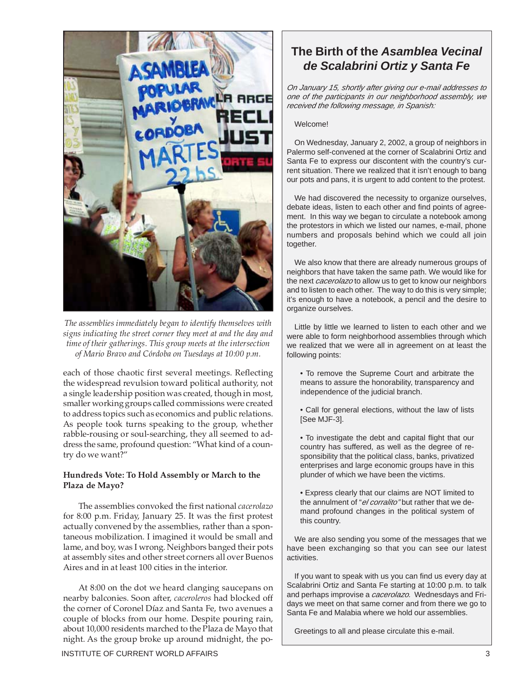

*The assemblies immediately began to identify themselves with signs indicating the street corner they meet at and the day and time of their gatherings. This group meets at the intersection of Mario Bravo and Córdoba on Tuesdays at 10:00 p.m.*

each of those chaotic first several meetings. Reflecting the widespread revulsion toward political authority, not a single leadership position was created, though in most, smaller working groups called commissions were created to address topics such as economics and public relations. As people took turns speaking to the group, whether rabble-rousing or soul-searching, they all seemed to address the same, profound question: "What kind of a country do we want?"

#### **Hundreds Vote: To Hold Assembly or March to the Plaza de Mayo?**

The assemblies convoked the first national *cacerolazo* for 8:00 p.m. Friday, January 25. It was the first protest actually convened by the assemblies, rather than a spontaneous mobilization. I imagined it would be small and lame, and boy, was I wrong. Neighbors banged their pots at assembly sites and other street corners all over Buenos Aires and in at least 100 cities in the interior.

At 8:00 on the dot we heard clanging saucepans on nearby balconies. Soon after, *caceroleros* had blocked off the corner of Coronel Díaz and Santa Fe, two avenues a couple of blocks from our home. Despite pouring rain, about 10,000 residents marched to the Plaza de Mayo that night. As the group broke up around midnight, the po-

## **The Birth of the Asamblea Vecinal de Scalabrini Ortiz y Santa Fe**

On January 15, shortly after giving our e-mail addresses to one of the participants in our neighborhood assembly, we received the following message, in Spanish:

#### Welcome!

On Wednesday, January 2, 2002, a group of neighbors in Palermo self-convened at the corner of Scalabrini Ortiz and Santa Fe to express our discontent with the country's current situation. There we realized that it isn't enough to bang our pots and pans, it is urgent to add content to the protest.

We had discovered the necessity to organize ourselves, debate ideas, listen to each other and find points of agreement. In this way we began to circulate a notebook among the protestors in which we listed our names, e-mail, phone numbers and proposals behind which we could all join together.

We also know that there are already numerous groups of neighbors that have taken the same path. We would like for the next *cacerolazo* to allow us to get to know our neighbors and to listen to each other. The way to do this is very simple; it's enough to have a notebook, a pencil and the desire to organize ourselves.

Little by little we learned to listen to each other and we were able to form neighborhood assemblies through which we realized that we were all in agreement on at least the following points:

- To remove the Supreme Court and arbitrate the means to assure the honorability, transparency and independence of the judicial branch.
- Call for general elections, without the law of lists [See MJF-3].
- To investigate the debt and capital flight that our country has suffered, as well as the degree of responsibility that the political class, banks, privatized enterprises and large economic groups have in this plunder of which we have been the victims.
- Express clearly that our claims are NOT limited to the annulment of "el corralito" but rather that we demand profound changes in the political system of this country.

We are also sending you some of the messages that we have been exchanging so that you can see our latest activities.

If you want to speak with us you can find us every day at Scalabrini Ortiz and Santa Fe starting at 10:00 p.m. to talk and perhaps improvise a *cacerolazo*. Wednesdays and Fridays we meet on that same corner and from there we go to Santa Fe and Malabia where we hold our assemblies.

Greetings to all and please circulate this e-mail.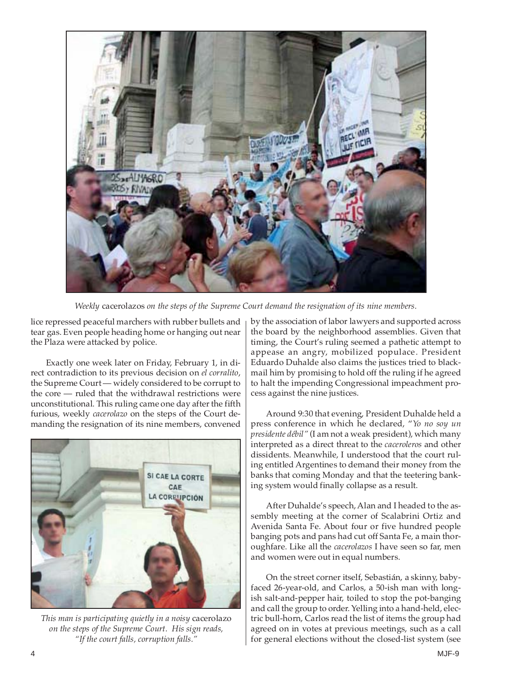

*Weekly* cacerolazos *on the steps of the Supreme Court demand the resignation of its nine members.*

lice repressed peaceful marchers with rubber bullets and tear gas. Even people heading home or hanging out near the Plaza were attacked by police.

Exactly one week later on Friday, February 1, in direct contradiction to its previous decision on *el corralito*, the Supreme Court — widely considered to be corrupt to the core — ruled that the withdrawal restrictions were unconstitutional. This ruling came one day after the fifth furious, weekly *cacerolazo* on the steps of the Court demanding the resignation of its nine members, convened



*This man is participating quietly in a noisy* cacerolazo *on the steps of the Supreme Court. His sign reads, "If the court falls, corruption falls."*

by the association of labor lawyers and supported across the board by the neighborhood assemblies. Given that timing, the Court's ruling seemed a pathetic attempt to appease an angry, mobilized populace. President Eduardo Duhalde also claims the justices tried to blackmail him by promising to hold off the ruling if he agreed to halt the impending Congressional impeachment process against the nine justices.

Around 9:30 that evening, President Duhalde held a press conference in which he declared, "*Yo no soy un presidente débil"* (I am not a weak president), which many interpreted as a direct threat to the *caceroleros* and other dissidents. Meanwhile, I understood that the court ruling entitled Argentines to demand their money from the banks that coming Monday and that the teetering banking system would finally collapse as a result.

After Duhalde's speech, Alan and I headed to the assembly meeting at the corner of Scalabrini Ortiz and Avenida Santa Fe. About four or five hundred people banging pots and pans had cut off Santa Fe, a main thoroughfare. Like all the *cacerolazos* I have seen so far, men and women were out in equal numbers.

On the street corner itself, Sebastián, a skinny, babyfaced 26-year-old, and Carlos, a 50-ish man with longish salt-and-pepper hair, toiled to stop the pot-banging and call the group to order. Yelling into a hand-held, electric bull-horn, Carlos read the list of items the group had agreed on in votes at previous meetings, such as a call for general elections without the closed-list system (see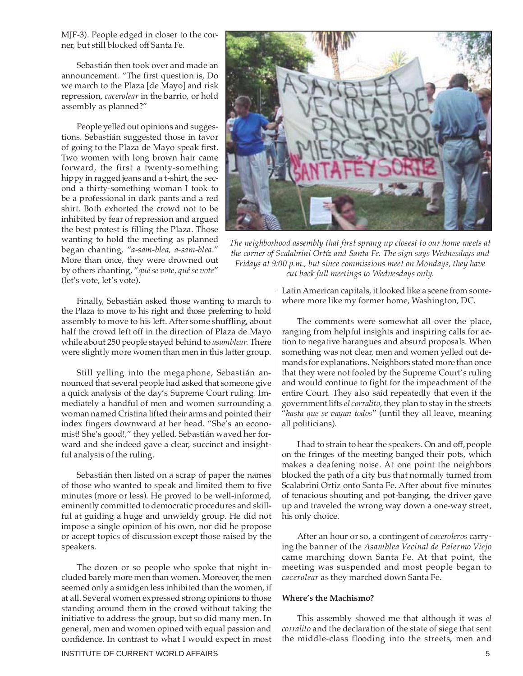MJF-3). People edged in closer to the corner, but still blocked off Santa Fe.

Sebastián then took over and made an announcement. "The first question is, Do we march to the Plaza [de Mayo] and risk repression, *cacerolear* in the barrio, or hold assembly as planned?"

People yelled out opinions and suggestions. Sebastián suggested those in favor of going to the Plaza de Mayo speak first. Two women with long brown hair came forward, the first a twenty-something hippy in ragged jeans and a t-shirt, the second a thirty-something woman I took to be a professional in dark pants and a red shirt. Both exhorted the crowd not to be inhibited by fear of repression and argued the best protest is filling the Plaza. Those wanting to hold the meeting as planned began chanting, "*a-sam-blea, a-sam-blea*." More than once, they were drowned out by others chanting, "*qué se vote, qué se vote*" (let's vote, let's vote).

Finally, Sebastián asked those wanting to march to the Plaza to move to his right and those preferring to hold assembly to move to his left. After some shuffling, about half the crowd left off in the direction of Plaza de Mayo while about 250 people stayed behind to *asamblear.* There were slightly more women than men in this latter group.

Still yelling into the megaphone, Sebastián announced that several people had asked that someone give a quick analysis of the day's Supreme Court ruling. Immediately a handful of men and women surrounding a woman named Cristina lifted their arms and pointed their index fingers downward at her head. "She's an economist! She's good!," they yelled. Sebastián waved her forward and she indeed gave a clear, succinct and insightful analysis of the ruling.

Sebastián then listed on a scrap of paper the names of those who wanted to speak and limited them to five minutes (more or less). He proved to be well-informed, eminently committed to democratic procedures and skillful at guiding a huge and unwieldy group. He did not impose a single opinion of his own, nor did he propose or accept topics of discussion except those raised by the speakers.

The dozen or so people who spoke that night included barely more men than women. Moreover, the men seemed only a smidgen less inhibited than the women, if at all. Several women expressed strong opinions to those standing around them in the crowd without taking the initiative to address the group, but so did many men. In general, men and women opined with equal passion and confidence. In contrast to what I would expect in most



*The neighborhood assembly that first sprang up closest to our home meets at the corner of Scalabrini Ortíz and Santa Fe. The sign says Wednesdays and Fridays at 9:00 p.m., but since commissions meet on Mondays, they have cut back full meetings to Wednesdays only.*

Latin American capitals, it looked like a scene from somewhere more like my former home, Washington, DC.

The comments were somewhat all over the place, ranging from helpful insights and inspiring calls for action to negative harangues and absurd proposals. When something was not clear, men and women yelled out demands for explanations. Neighbors stated more than once that they were not fooled by the Supreme Court's ruling and would continue to fight for the impeachment of the entire Court. They also said repeatedly that even if the government lifts *el corralito,* they plan to stay in the streets "*hasta que se vayan todos*" (until they all leave, meaning all politicians).

I had to strain to hear the speakers. On and off, people on the fringes of the meeting banged their pots, which makes a deafening noise. At one point the neighbors blocked the path of a city bus that normally turned from Scalabrini Ortiz onto Santa Fe. After about five minutes of tenacious shouting and pot-banging, the driver gave up and traveled the wrong way down a one-way street, his only choice.

After an hour or so, a contingent of *caceroleros* carrying the banner of the *Asamblea Vecinal de Palermo Viejo* came marching down Santa Fe. At that point, the meeting was suspended and most people began to *cacerolear* as they marched down Santa Fe.

#### **Where's the Machismo?**

This assembly showed me that although it was *el corralito* and the declaration of the state of siege that sent the middle-class flooding into the streets, men and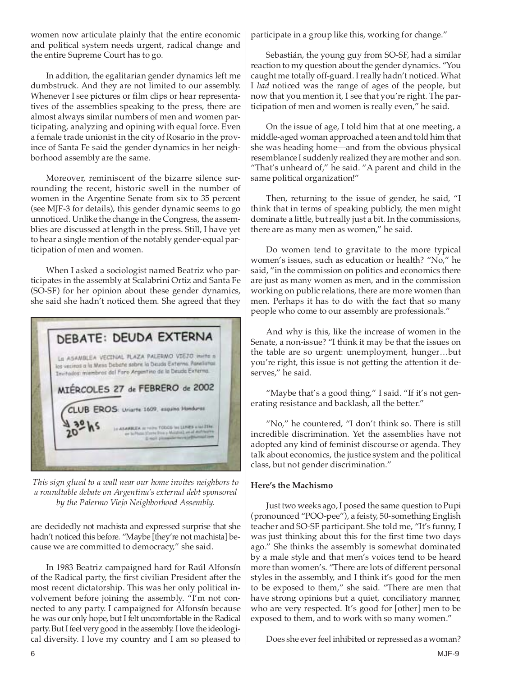women now articulate plainly that the entire economic and political system needs urgent, radical change and the entire Supreme Court has to go.

In addition, the egalitarian gender dynamics left me dumbstruck. And they are not limited to our assembly. Whenever I see pictures or film clips or hear representatives of the assemblies speaking to the press, there are almost always similar numbers of men and women participating, analyzing and opining with equal force. Even a female trade unionist in the city of Rosario in the province of Santa Fe said the gender dynamics in her neighborhood assembly are the same.

Moreover, reminiscent of the bizarre silence surrounding the recent, historic swell in the number of women in the Argentine Senate from six to 35 percent (see MJF-3 for details), this gender dynamic seems to go unnoticed. Unlike the change in the Congress, the assemblies are discussed at length in the press. Still, I have yet to hear a single mention of the notably gender-equal participation of men and women.

When I asked a sociologist named Beatriz who participates in the assembly at Scalabrini Ortiz and Santa Fe (SO-SF) for her opinion about these gender dynamics, she said she hadn't noticed them. She agreed that they



*This sign glued to a wall near our home invites neighbors to a roundtable debate on Argentina's external debt sponsored by the Palermo Viejo Neighborhood Assembly.*

are decidedly not machista and expressed surprise that she hadn't noticed this before. "Maybe [they're not machista] because we are committed to democracy," she said.

In 1983 Beatriz campaigned hard for Raúl Alfonsín of the Radical party, the first civilian President after the most recent dictatorship. This was her only political involvement before joining the assembly. "I'm not connected to any party. I campaigned for Alfonsín because he was our only hope, but I felt uncomfortable in the Radical party. But I feel very good in the assembly. I love the ideological diversity. I love my country and I am so pleased to participate in a group like this, working for change."

Sebastián, the young guy from SO-SF, had a similar reaction to my question about the gender dynamics. "You caught me totally off-guard. I really hadn't noticed. What I *had* noticed was the range of ages of the people, but now that you mention it, I see that you're right. The participation of men and women is really even," he said.

On the issue of age, I told him that at one meeting, a middle-aged woman approached a teen and told him that she was heading home—and from the obvious physical resemblance I suddenly realized they are mother and son. "That's unheard of," he said. "A parent and child in the same political organization!"

Then, returning to the issue of gender, he said, "I think that in terms of speaking publicly, the men might dominate a little, but really just a bit. In the commissions, there are as many men as women," he said.

Do women tend to gravitate to the more typical women's issues, such as education or health? "No," he said, "in the commission on politics and economics there are just as many women as men, and in the commission working on public relations, there are more women than men. Perhaps it has to do with the fact that so many people who come to our assembly are professionals."

And why is this, like the increase of women in the Senate, a non-issue? "I think it may be that the issues on the table are so urgent: unemployment, hunger…but you're right, this issue is not getting the attention it deserves," he said.

"Maybe that's a good thing," I said. "If it's not generating resistance and backlash, all the better."

"No," he countered, "I don't think so. There is still incredible discrimination. Yet the assemblies have not adopted any kind of feminist discourse or agenda. They talk about economics, the justice system and the political class, but not gender discrimination."

#### **Here's the Machismo**

Just two weeks ago, I posed the same question to Pupi (pronounced "POO-pee"), a feisty, 50-something English teacher and SO-SF participant. She told me, "It's funny, I was just thinking about this for the first time two days ago." She thinks the assembly is somewhat dominated by a male style and that men's voices tend to be heard more than women's. "There are lots of different personal styles in the assembly, and I think it's good for the men to be exposed to them," she said. "There are men that have strong opinions but a quiet, conciliatory manner, who are very respected. It's good for [other] men to be exposed to them, and to work with so many women."

Does she ever feel inhibited or repressed as a woman?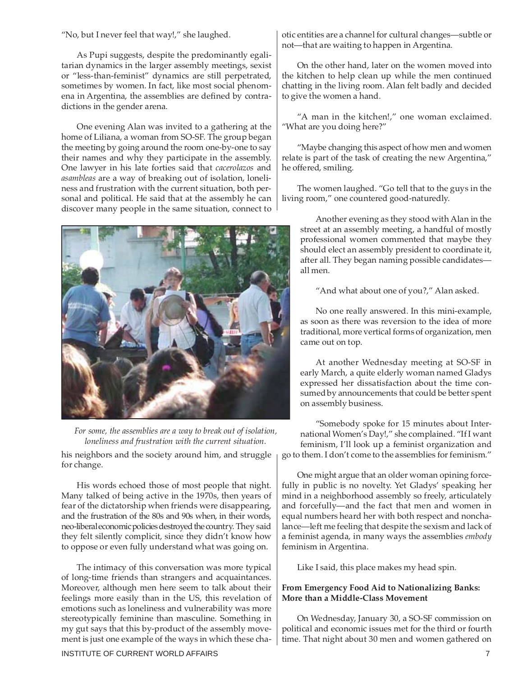"No, but I never feel that way!," she laughed.

As Pupi suggests, despite the predominantly egalitarian dynamics in the larger assembly meetings, sexist or "less-than-feminist" dynamics are still perpetrated, sometimes by women. In fact, like most social phenomena in Argentina, the assemblies are defined by contradictions in the gender arena.

One evening Alan was invited to a gathering at the home of Liliana, a woman from SO-SF. The group began the meeting by going around the room one-by-one to say their names and why they participate in the assembly. One lawyer in his late forties said that *cacerolazos* and *asambleas* are a way of breaking out of isolation, loneliness and frustration with the current situation, both personal and political. He said that at the assembly he can discover many people in the same situation, connect to





his neighbors and the society around him, and struggle for change.

His words echoed those of most people that night. Many talked of being active in the 1970s, then years of fear of the dictatorship when friends were disappearing, and the frustration of the 80s and 90s when, in their words, neo-liberal economic policies destroyed the country. They said they felt silently complicit, since they didn't know how to oppose or even fully understand what was going on.

The intimacy of this conversation was more typical of long-time friends than strangers and acquaintances. Moreover, although men here seem to talk about their feelings more easily than in the US, this revelation of emotions such as loneliness and vulnerability was more stereotypically feminine than masculine. Something in my gut says that this by-product of the assembly movement is just one example of the ways in which these chaotic entities are a channel for cultural changes—subtle or not—that are waiting to happen in Argentina.

On the other hand, later on the women moved into the kitchen to help clean up while the men continued chatting in the living room. Alan felt badly and decided to give the women a hand.

"A man in the kitchen!," one woman exclaimed. "What are you doing here?"

"Maybe changing this aspect of how men and women relate is part of the task of creating the new Argentina," he offered, smiling.

The women laughed. "Go tell that to the guys in the living room," one countered good-naturedly.

Another evening as they stood with Alan in the street at an assembly meeting, a handful of mostly professional women commented that maybe they should elect an assembly president to coordinate it, after all. They began naming possible candidates all men.

"And what about one of you?," Alan asked.

No one really answered. In this mini-example, as soon as there was reversion to the idea of more traditional, more vertical forms of organization, men came out on top.

At another Wednesday meeting at SO-SF in early March, a quite elderly woman named Gladys expressed her dissatisfaction about the time consumed by announcements that could be better spent on assembly business.

"Somebody spoke for 15 minutes about International Women's Day!," she complained. "If I want feminism, I'll look up a feminist organization and go to them. I don't come to the assemblies for feminism."

One might argue that an older woman opining forcefully in public is no novelty. Yet Gladys' speaking her mind in a neighborhood assembly so freely, articulately and forcefully—and the fact that men and women in equal numbers heard her with both respect and nonchalance—left me feeling that despite the sexism and lack of a feminist agenda, in many ways the assemblies *embody* feminism in Argentina.

Like I said, this place makes my head spin.

#### **From Emergency Food Aid to Nationalizing Banks: More than a Middle-Class Movement**

On Wednesday, January 30, a SO-SF commission on political and economic issues met for the third or fourth time. That night about 30 men and women gathered on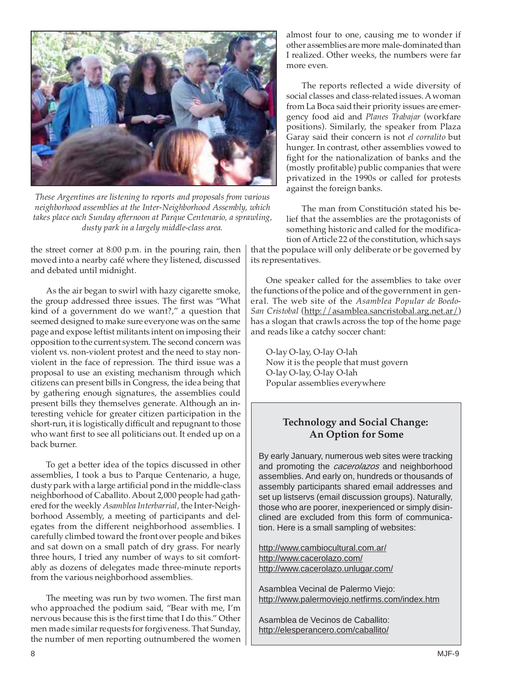

*These Argentines are listening to reports and proposals from various neighborhood assemblies at the Inter-Neighborhood Assembly, which takes place each Sunday afternoon at Parque Centenario, a sprawling, dusty park in a largely middle-class area.*

the street corner at 8:00 p.m. in the pouring rain, then moved into a nearby café where they listened, discussed and debated until midnight.

As the air began to swirl with hazy cigarette smoke, the group addressed three issues. The first was "What kind of a government do we want?," a question that seemed designed to make sure everyone was on the same page and expose leftist militants intent on imposing their opposition to the current system. The second concern was violent vs. non-violent protest and the need to stay nonviolent in the face of repression. The third issue was a proposal to use an existing mechanism through which citizens can present bills in Congress, the idea being that by gathering enough signatures, the assemblies could present bills they themselves generate. Although an interesting vehicle for greater citizen participation in the short-run, it is logistically difficult and repugnant to those who want first to see all politicians out. It ended up on a back burner.

To get a better idea of the topics discussed in other assemblies, I took a bus to Parque Centenario, a huge, dusty park with a large artificial pond in the middle-class neighborhood of Caballito. About 2,000 people had gathered for the weekly *Asamblea Interbarrial,* the Inter-Neighborhood Assembly, a meeting of participants and delegates from the different neighborhood assemblies. I carefully climbed toward the front over people and bikes and sat down on a small patch of dry grass. For nearly three hours, I tried any number of ways to sit comfortably as dozens of delegates made three-minute reports from the various neighborhood assemblies.

The meeting was run by two women. The first man who approached the podium said, "Bear with me, I'm nervous because this is the first time that I do this." Other men made similar requests for forgiveness. That Sunday, the number of men reporting outnumbered the women almost four to one, causing me to wonder if other assemblies are more male-dominated than I realized. Other weeks, the numbers were far more even.

The reports reflected a wide diversity of social classes and class-related issues. A woman from La Boca said their priority issues are emergency food aid and *Planes Trabajar* (workfare positions). Similarly, the speaker from Plaza Garay said their concern is not *el corralito* but hunger. In contrast, other assemblies vowed to fight for the nationalization of banks and the (mostly profitable) public companies that were privatized in the 1990s or called for protests against the foreign banks.

The man from Constitución stated his belief that the assemblies are the protagonists of something historic and called for the modification of Article 22 of the constitution, which says

that the populace will only deliberate or be governed by its representatives.

One speaker called for the assemblies to take over the functions of the police and of the government in general. The web site of the *Asamblea Popular de Boedo-San Cristobal* (http://asamblea.sancristobal.arg.net.ar/) has a slogan that crawls across the top of the home page and reads like a catchy soccer chant:

O-lay O-lay, O-lay O-lah Now it is the people that must govern O-lay O-lay, O-lay O-lah Popular assemblies everywhere

### **Technology and Social Change: An Option for Some**

By early January, numerous web sites were tracking and promoting the *cacerolazos* and neighborhood assemblies. And early on, hundreds or thousands of assembly participants shared email addresses and set up listservs (email discussion groups). Naturally, those who are poorer, inexperienced or simply disinclined are excluded from this form of communication. Here is a small sampling of websites:

http://www.cambiocultural.com.ar/ http://www.cacerolazo.com/ http://www.cacerolazo.unlugar.com/

Asamblea Vecinal de Palermo Viejo: http://www.palermoviejo.netfirms.com/index.htm

Asamblea de Vecinos de Caballito: http://elesperancero.com/caballito/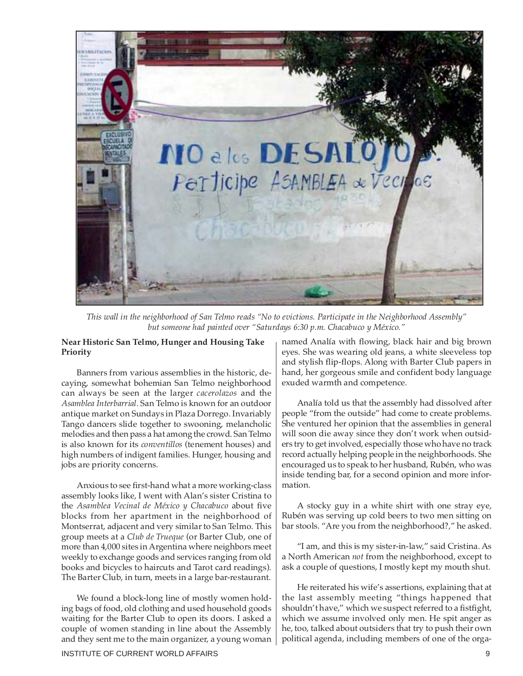

*This wall in the neighborhood of San Telmo reads "No to evictions. Participate in the Neighborhood Assembly" but someone had painted over "Saturdays 6:30 p.m. Chacabuco y México."*

#### **Near Historic San Telmo, Hunger and Housing Take Priority**

Banners from various assemblies in the historic, decaying, somewhat bohemian San Telmo neighborhood can always be seen at the larger *cacerolazos* and the *Asamblea Interbarrial.* San Telmo is known for an outdoor antique market on Sundays in Plaza Dorrego. Invariably Tango dancers slide together to swooning, melancholic melodies and then pass a hat among the crowd. San Telmo is also known for its *conventillos* (tenement houses) and high numbers of indigent families. Hunger, housing and jobs are priority concerns.

Anxious to see first-hand what a more working-class assembly looks like, I went with Alan's sister Cristina to the *Asamblea Vecinal de México y Chacabuco* about five blocks from her apartment in the neighborhood of Montserrat, adjacent and very similar to San Telmo. This group meets at a *Club de Trueque* (or Barter Club, one of more than 4,000 sites in Argentina where neighbors meet weekly to exchange goods and services ranging from old books and bicycles to haircuts and Tarot card readings). The Barter Club, in turn, meets in a large bar-restaurant.

We found a block-long line of mostly women holding bags of food, old clothing and used household goods waiting for the Barter Club to open its doors. I asked a couple of women standing in line about the Assembly and they sent me to the main organizer, a young woman

named Analía with flowing, black hair and big brown eyes. She was wearing old jeans, a white sleeveless top and stylish flip-flops. Along with Barter Club papers in hand, her gorgeous smile and confident body language exuded warmth and competence.

Analía told us that the assembly had dissolved after people "from the outside" had come to create problems. She ventured her opinion that the assemblies in general will soon die away since they don't work when outsiders try to get involved, especially those who have no track record actually helping people in the neighborhoods. She encouraged us to speak to her husband, Rubén, who was inside tending bar, for a second opinion and more information.

A stocky guy in a white shirt with one stray eye, Rubén was serving up cold beers to two men sitting on bar stools. "Are you from the neighborhood?," he asked.

"I am, and this is my sister-in-law," said Cristina. As a North American *not* from the neighborhood, except to ask a couple of questions, I mostly kept my mouth shut.

He reiterated his wife's assertions, explaining that at the last assembly meeting "things happened that shouldn't have," which we suspect referred to a fistfight, which we assume involved only men. He spit anger as he, too, talked about outsiders that try to push their own political agenda, including members of one of the orga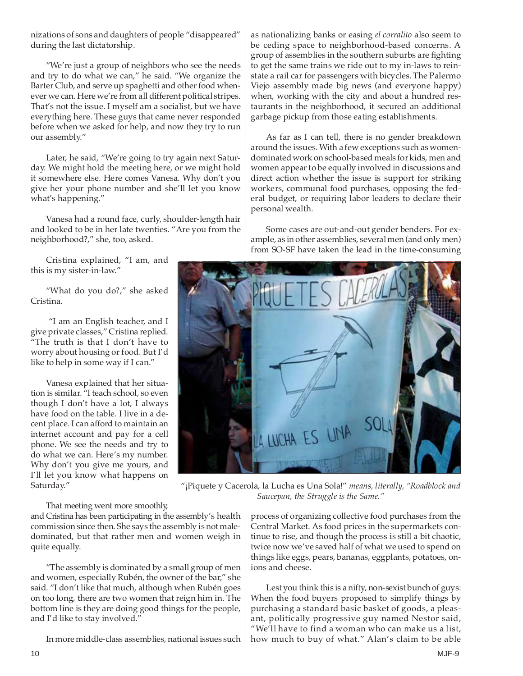nizations of sons and daughters of people "disappeared" during the last dictatorship.

"We're just a group of neighbors who see the needs and try to do what we can," he said. "We organize the Barter Club, and serve up spaghetti and other food whenever we can. Here we're from all different political stripes. That's not the issue. I myself am a socialist, but we have everything here. These guys that came never responded before when we asked for help, and now they try to run our assembly."

Later, he said, "We're going to try again next Saturday. We might hold the meeting here, or we might hold it somewhere else. Here comes Vanesa. Why don't you give her your phone number and she'll let you know what's happening."

Vanesa had a round face, curly, shoulder-length hair and looked to be in her late twenties. "Are you from the neighborhood?," she, too, asked.

Cristina explained, "I am, and this is my sister-in-law."

"What do you do?," she asked Cristina.

"I am an English teacher, and I give private classes," Cristina replied. "The truth is that I don't have to worry about housing or food. But I'd like to help in some way if I can."

Vanesa explained that her situation is similar. "I teach school, so even though I don't have a lot, I always have food on the table. I live in a decent place. I can afford to maintain an internet account and pay for a cell phone. We see the needs and try to do what we can. Here's my number. Why don't you give me yours, and I'll let you know what happens on Saturday."

as nationalizing banks or easing *el corralito* also seem to be ceding space to neighborhood-based concerns. A group of assemblies in the southern suburbs are fighting to get the same trains we ride out to my in-laws to reinstate a rail car for passengers with bicycles. The Palermo Viejo assembly made big news (and everyone happy) when, working with the city and about a hundred restaurants in the neighborhood, it secured an additional garbage pickup from those eating establishments.

As far as I can tell, there is no gender breakdown around the issues. With a few exceptions such as womendominated work on school-based meals for kids, men and women appear to be equally involved in discussions and direct action whether the issue is support for striking workers, communal food purchases, opposing the federal budget, or requiring labor leaders to declare their personal wealth.

Some cases are out-and-out gender benders. For example, as in other assemblies, several men (and only men) from SO-SF have taken the lead in the time-consuming



"¡Piquete y Cacerola, la Lucha es Una Sola!" *means, literally, "Roadblock and Saucepan, the Struggle is the Same."*

That meeting went more smoothly,

and Cristina has been participating in the assembly's health commission since then. She says the assembly is not maledominated, but that rather men and women weigh in quite equally.

"The assembly is dominated by a small group of men and women, especially Rubén, the owner of the bar," she said. "I don't like that much, although when Rubén goes on too long, there are two women that reign him in. The bottom line is they are doing good things for the people, and I'd like to stay involved."

In more middle-class assemblies, national issues such

process of organizing collective food purchases from the Central Market. As food prices in the supermarkets continue to rise, and though the process is still a bit chaotic, twice now we've saved half of what we used to spend on things like eggs, pears, bananas, eggplants, potatoes, onions and cheese.

Lest you think this is a nifty, non-sexist bunch of guys: When the food buyers proposed to simplify things by purchasing a standard basic basket of goods, a pleasant, politically progressive guy named Nestor said, "We'll have to find a woman who can make us a list, how much to buy of what." Alan's claim to be able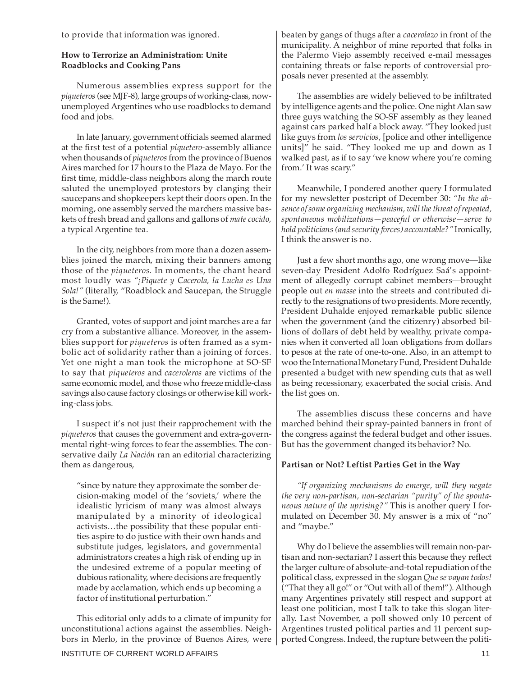to provide that information was ignored.

#### **How to Terrorize an Administration: Unite Roadblocks and Cooking Pans**

Numerous assemblies express support for the *piqueteros* (see MJF-8)*,* large groups of working-class, nowunemployed Argentines who use roadblocks to demand food and jobs.

In late January, government officials seemed alarmed at the first test of a potential *piquetero*-assembly alliance when thousands of *piqueteros*from the province of Buenos Aires marched for 17 hours to the Plaza de Mayo. For the first time, middle-class neighbors along the march route saluted the unemployed protestors by clanging their saucepans and shopkeepers kept their doors open. In the morning, one assembly served the marchers massive baskets of fresh bread and gallons and gallons of *mate cocido,* a typical Argentine tea.

In the city, neighbors from more than a dozen assemblies joined the march, mixing their banners among those of the *piqueteros.* In moments, the chant heard most loudly was *"¡Piquete y Cacerola, la Lucha es Una Sola!"* (literally, "Roadblock and Saucepan, the Struggle is the Same!).

Granted, votes of support and joint marches are a far cry from a substantive alliance. Moreover, in the assemblies support for *piqueteros* is often framed as a symbolic act of solidarity rather than a joining of forces. Yet one night a man took the microphone at SO-SF to say that *piqueteros* and *caceroleros* are victims of the same economic model, and those who freeze middle-class savings also cause factory closings or otherwise kill working-class jobs.

I suspect it's not just their rapprochement with the *piqueteros* that causes the government and extra-governmental right-wing forces to fear the assemblies. The conservative daily *La Nación* ran an editorial characterizing them as dangerous,

"since by nature they approximate the somber decision-making model of the 'soviets,' where the idealistic lyricism of many was almost always manipulated by a minority of ideological activists…the possibility that these popular entities aspire to do justice with their own hands and substitute judges, legislators, and governmental administrators creates a high risk of ending up in the undesired extreme of a popular meeting of dubious rationality, where decisions are frequently made by acclamation, which ends up becoming a factor of institutional perturbation."

This editorial only adds to a climate of impunity for unconstitutional actions against the assemblies. Neighbors in Merlo, in the province of Buenos Aires, were beaten by gangs of thugs after a *cacerolazo* in front of the municipality. A neighbor of mine reported that folks in the Palermo Viejo assembly received e-mail messages containing threats or false reports of controversial proposals never presented at the assembly.

The assemblies are widely believed to be infiltrated by intelligence agents and the police. One night Alan saw three guys watching the SO-SF assembly as they leaned against cars parked half a block away. "They looked just like guys from *los servicios*, [police and other intelligence units]" he said. "They looked me up and down as I walked past, as if to say 'we know where you're coming from.' It was scary."

Meanwhile, I pondered another query I formulated for my newsletter postcript of December 30: *"In the absence of some organizing mechanism, will the threat of repeated, spontaneous mobilizations—peaceful or otherwise—serve to hold politicians (and security forces) accountable?"* Ironically, I think the answer is no.

Just a few short months ago, one wrong move—like seven-day President Adolfo Rodríguez Saá's appointment of allegedly corrupt cabinet members—brought people out *en masse* into the streets and contributed directly to the resignations of two presidents. More recently, President Duhalde enjoyed remarkable public silence when the government (and the citizenry) absorbed billions of dollars of debt held by wealthy, private companies when it converted all loan obligations from dollars to pesos at the rate of one-to-one. Also, in an attempt to woo the International Monetary Fund, President Duhalde presented a budget with new spending cuts that as well as being recessionary, exacerbated the social crisis. And the list goes on.

The assemblies discuss these concerns and have marched behind their spray-painted banners in front of the congress against the federal budget and other issues. But has the government changed its behavior? No.

#### **Partisan or Not? Leftist Parties Get in the Way**

*"If organizing mechanisms do emerge, will they negate the very non-partisan, non-sectarian "purity" of the spontaneous nature of the uprising?"* This is another query I formulated on December 30. My answer is a mix of "no" and "maybe."

Why do I believe the assemblies will remain non-partisan and non-sectarian? I assert this because they reflect the larger culture of absolute-and-total repudiation of the political class, expressed in the slogan *Que se vayan todos!* ("That they all go!" or "Out with all of them!"). Although many Argentines privately still respect and support at least one politician, most I talk to take this slogan literally. Last November, a poll showed only 10 percent of Argentines trusted political parties and 11 percent supported Congress. Indeed, the rupture between the politi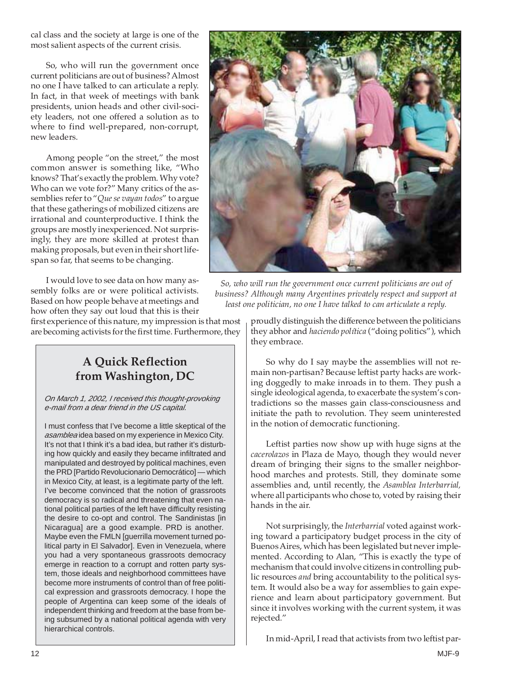cal class and the society at large is one of the most salient aspects of the current crisis.

So, who will run the government once current politicians are out of business? Almost no one I have talked to can articulate a reply. In fact, in that week of meetings with bank presidents, union heads and other civil-society leaders, not one offered a solution as to where to find well-prepared, non-corrupt, new leaders.

Among people "on the street," the most common answer is something like, "Who knows? That's exactly the problem. Why vote? Who can we vote for?" Many critics of the assemblies refer to "*Que se vayan todos*" to argue that these gatherings of mobilized citizens are irrational and counterproductive. I think the groups are mostly inexperienced. Not surprisingly, they are more skilled at protest than making proposals, but even in their short lifespan so far, that seems to be changing.

I would love to see data on how many assembly folks are or were political activists. Based on how people behave at meetings and how often they say out loud that this is their

first experience of this nature, my impression is that most are becoming activists for the first time. Furthermore, they



*So, who will run the government once current politicians are out of business? Although many Argentines privately respect and support at least one politician, no one I have talked to can articulate a reply.*

proudly distinguish the difference between the politicians they abhor and *haciendo política* ("doing politics"), which they embrace.

## **A Quick Reflection from Washington, DC**

#### On March 1, 2002, I received this thought-provoking e-mail from a dear friend in the US capital.

I must confess that I've become a little skeptical of the asamblea idea based on my experience in Mexico City. It's not that I think it's a bad idea, but rather it's disturbing how quickly and easily they became infiltrated and manipulated and destroyed by political machines, even the PRD [Partido Revolucionario Democrático] — which in Mexico City, at least, is a legitimate party of the left. I've become convinced that the notion of grassroots democracy is so radical and threatening that even national political parties of the left have difficulty resisting the desire to co-opt and control. The Sandinistas [in Nicaragua] are a good example. PRD is another. Maybe even the FMLN [guerrilla movement turned political party in El Salvador]. Even in Venezuela, where you had a very spontaneous grassroots democracy emerge in reaction to a corrupt and rotten party system, those ideals and neighborhood committees have become more instruments of control than of free political expression and grassroots democracy. I hope the people of Argentina can keep some of the ideals of independent thinking and freedom at the base from being subsumed by a national political agenda with very hierarchical controls.

So why do I say maybe the assemblies will not remain non-partisan? Because leftist party hacks are working doggedly to make inroads in to them. They push a single ideological agenda, to exacerbate the system's contradictions so the masses gain class-consciousness and initiate the path to revolution. They seem uninterested in the notion of democratic functioning.

Leftist parties now show up with huge signs at the *cacerolazos* in Plaza de Mayo, though they would never dream of bringing their signs to the smaller neighborhood marches and protests. Still, they dominate some assemblies and, until recently, the *Asamblea Interbarrial,* where all participants who chose to, voted by raising their hands in the air.

Not surprisingly, the *Interbarrial* voted against working toward a participatory budget process in the city of Buenos Aires, which has been legislated but never implemented. According to Alan, "This is exactly the type of mechanism that could involve citizens in controlling public resources *and* bring accountability to the political system. It would also be a way for assemblies to gain experience and learn about participatory government. But since it involves working with the current system, it was rejected."

In mid-April, I read that activists from two leftist par-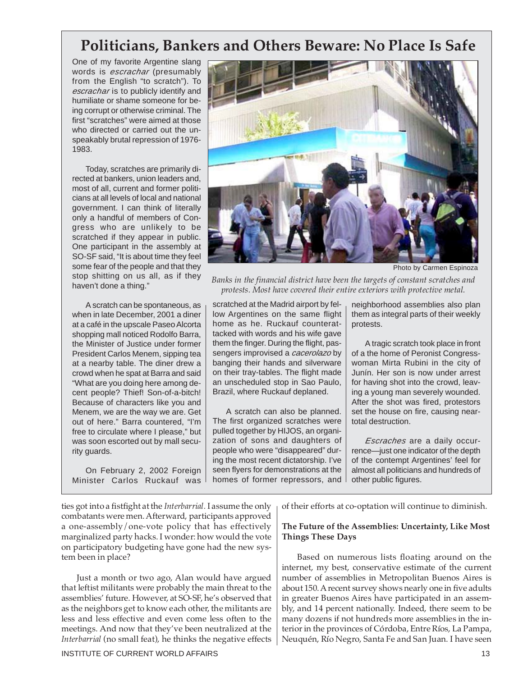## **Politicians, Bankers and Others Beware: No Place Is Safe**

One of my favorite Argentine slang words is *escrachar* (presumably from the English "to scratch"). To escrachar is to publicly identify and humiliate or shame someone for being corrupt or otherwise criminal. The first "scratches" were aimed at those who directed or carried out the unspeakably brutal repression of 1976- 1983.

Today, scratches are primarily directed at bankers, union leaders and, most of all, current and former politicians at all levels of local and national government. I can think of literally only a handful of members of Congress who are unlikely to be scratched if they appear in public. One participant in the assembly at SO-SF said, "It is about time they feel some fear of the people and that they stop shitting on us all, as if they haven't done a thing."

A scratch can be spontaneous, as when in late December, 2001 a diner at a café in the upscale Paseo Alcorta shopping mall noticed Rodolfo Barra, the Minister of Justice under former President Carlos Menem, sipping tea at a nearby table. The diner drew a crowd when he spat at Barra and said "What are you doing here among decent people? Thief! Son-of-a-bitch! Because of characters like you and Menem, we are the way we are. Get out of here." Barra countered, "I'm free to circulate where I please," but was soon escorted out by mall security guards.

On February 2, 2002 Foreign Minister Carlos Ruckauf was



Photo by Carmen Espinoza

*Banks in the financial district have been the targets of constant scratches and protests. Most have covered their entire exteriors with protective metal.*

scratched at the Madrid airport by fellow Argentines on the same flight home as he. Ruckauf counterattacked with words and his wife gave them the finger. During the flight, passengers improvised a *cacerolazo* by banging their hands and silverware on their tray-tables. The flight made an unscheduled stop in Sao Paulo, Brazil, where Ruckauf deplaned.

A scratch can also be planned. The first organized scratches were pulled together by HIJOS, an organization of sons and daughters of people who were "disappeared" during the most recent dictatorship. I've seen flyers for demonstrations at the homes of former repressors, and

neighborhood assemblies also plan them as integral parts of their weekly protests.

A tragic scratch took place in front of a the home of Peronist Congresswoman Mirta Rubini in the city of Junín. Her son is now under arrest for having shot into the crowd, leaving a young man severely wounded. After the shot was fired, protestors set the house on fire, causing neartotal destruction.

Escraches are a daily occurrence—just one indicator of the depth of the contempt Argentines' feel for almost all politicians and hundreds of other public figures.

ties got into a fistfight at the *Interbarrial.* I assume the only combatants were men. Afterward, participants approved a one-assembly/one-vote policy that has effectively marginalized party hacks. I wonder: how would the vote on participatory budgeting have gone had the new system been in place?

Just a month or two ago, Alan would have argued that leftist militants were probably the main threat to the assemblies' future. However, at SO-SF, he's observed that as the neighbors get to know each other, the militants are less and less effective and even come less often to the meetings. And now that they've been neutralized at the *Interbarrial* (no small feat), he thinks the negative effects

INSTITUTE OF CURRENT WORLD AFFAIRS 13

of their efforts at co-optation will continue to diminish.

#### **The Future of the Assemblies: Uncertainty, Like Most Things These Days**

Based on numerous lists floating around on the internet, my best, conservative estimate of the current number of assemblies in Metropolitan Buenos Aires is about 150. A recent survey shows nearly one in five adults in greater Buenos Aires have participated in an assembly, and 14 percent nationally. Indeed, there seem to be many dozens if not hundreds more assemblies in the interior in the provinces of Córdoba, Entre Ríos, La Pampa, Neuquén, Río Negro, Santa Fe and San Juan. I have seen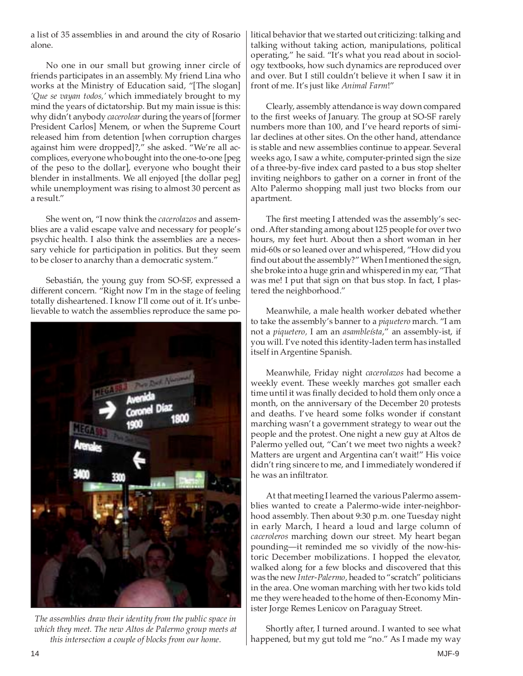a list of 35 assemblies in and around the city of Rosario alone.

No one in our small but growing inner circle of friends participates in an assembly. My friend Lina who works at the Ministry of Education said, "[The slogan] *'Que se vayan todos,'* which immediately brought to my mind the years of dictatorship. But my main issue is this: why didn't anybody *cacerolear* during the years of [former President Carlos] Menem, or when the Supreme Court released him from detention [when corruption charges against him were dropped]?," she asked. "We're all accomplices, everyone who bought into the one-to-one [peg of the peso to the dollar], everyone who bought their blender in installments. We all enjoyed [the dollar peg] while unemployment was rising to almost 30 percent as a result."

She went on, "I now think the *cacerolazos* and assemblies are a valid escape valve and necessary for people's psychic health. I also think the assemblies are a necessary vehicle for participation in politics. But they seem to be closer to anarchy than a democratic system."

Sebastián, the young guy from SO-SF, expressed a different concern. "Right now I'm in the stage of feeling totally disheartened. I know I'll come out of it. It's unbelievable to watch the assemblies reproduce the same po-



*The assemblies draw their identity from the public space in which they meet. The new Altos de Palermo group meets at this intersection a couple of blocks from our home.*

litical behavior that we started out criticizing: talking and talking without taking action, manipulations, political operating," he said. "It's what you read about in sociology textbooks, how such dynamics are reproduced over and over. But I still couldn't believe it when I saw it in front of me. It's just like *Animal Farm*!"

Clearly, assembly attendance is way down compared to the first weeks of January. The group at SO-SF rarely numbers more than 100, and I've heard reports of similar declines at other sites. On the other hand, attendance is stable and new assemblies continue to appear. Several weeks ago, I saw a white, computer-printed sign the size of a three-by-five index card pasted to a bus stop shelter inviting neighbors to gather on a corner in front of the Alto Palermo shopping mall just two blocks from our apartment.

The first meeting I attended was the assembly's second. After standing among about 125 people for over two hours, my feet hurt. About then a short woman in her mid-60s or so leaned over and whispered, "How did you find out about the assembly?" When I mentioned the sign, she broke into a huge grin and whispered in my ear, "That was me! I put that sign on that bus stop. In fact, I plastered the neighborhood."

Meanwhile, a male health worker debated whether to take the assembly's banner to a *piquetero* march. "I am not a *piquetero,* I am an *asambleísta*," an assembly-ist, if you will. I've noted this identity-laden term has installed itself in Argentine Spanish.

Meanwhile, Friday night *cacerolazos* had become a weekly event. These weekly marches got smaller each time until it was finally decided to hold them only once a month, on the anniversary of the December 20 protests and deaths. I've heard some folks wonder if constant marching wasn't a government strategy to wear out the people and the protest. One night a new guy at Altos de Palermo yelled out, "Can't we meet two nights a week? Matters are urgent and Argentina can't wait!" His voice didn't ring sincere to me, and I immediately wondered if he was an infiltrator.

At that meeting I learned the various Palermo assemblies wanted to create a Palermo-wide inter-neighborhood assembly. Then about 9:30 p.m. one Tuesday night in early March, I heard a loud and large column of *caceroleros* marching down our street. My heart began pounding—it reminded me so vividly of the now-historic December mobilizations. I hopped the elevator, walked along for a few blocks and discovered that this was the new *Inter-Palermo,* headed to "scratch" politicians in the area. One woman marching with her two kids told me they were headed to the home of then-Economy Minister Jorge Remes Lenicov on Paraguay Street.

Shortly after, I turned around. I wanted to see what happened, but my gut told me "no." As I made my way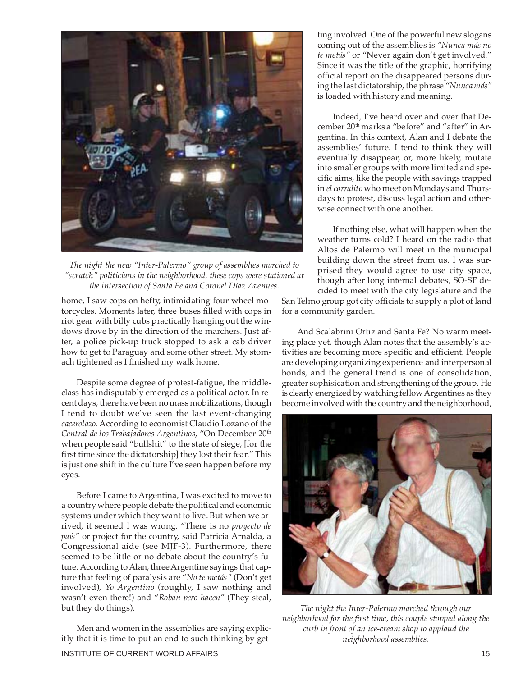

*The night the new "Inter-Palermo" group of assemblies marched to "scratch" politicians in the neighborhood, these cops were stationed at the intersection of Santa Fe and Coronel Díaz Avenues.*

home, I saw cops on hefty, intimidating four-wheel motorcycles. Moments later, three buses filled with cops in riot gear with billy cubs practically hanging out the windows drove by in the direction of the marchers. Just after, a police pick-up truck stopped to ask a cab driver how to get to Paraguay and some other street. My stomach tightened as I finished my walk home.

Despite some degree of protest-fatigue, the middleclass has indisputably emerged as a political actor. In recent days, there have been no mass mobilizations, though I tend to doubt we've seen the last event-changing *cacerolazo.*According to economist Claudio Lozano of the *Central de los Trabajadores Argentinos*, "On December 20th when people said "bullshit" to the state of siege, [for the first time since the dictatorship] they lost their fear." This is just one shift in the culture I've seen happen before my eyes.

Before I came to Argentina, I was excited to move to a country where people debate the political and economic systems under which they want to live. But when we arrived, it seemed I was wrong. "There is no *proyecto de país"* or project for the country, said Patricia Arnalda, a Congressional aide (see MJF-3). Furthermore, there seemed to be little or no debate about the country's future. According to Alan, three Argentine sayings that capture that feeling of paralysis are "*No te metás"* (Don't get involved), *Yo Argentino* (roughly, I saw nothing and wasn't even there!) and "*Roban pero hacen"* (They steal, but they do things).

Men and women in the assemblies are saying explicitly that it is time to put an end to such thinking by get-

ting involved. One of the powerful new slogans coming out of the assemblies is *"Nunca más no te metás"* or "Never again don't get involved." Since it was the title of the graphic, horrifying official report on the disappeared persons during the last dictatorship, the phrase "*Nunca más"* is loaded with history and meaning.

Indeed, I've heard over and over that December 20<sup>th</sup> marks a "before" and "after" in Argentina. In this context, Alan and I debate the assemblies' future. I tend to think they will eventually disappear, or, more likely, mutate into smaller groups with more limited and specific aims, like the people with savings trapped in *el corralito* who meet on Mondays and Thursdays to protest, discuss legal action and otherwise connect with one another.

If nothing else, what will happen when the weather turns cold? I heard on the radio that Altos de Palermo will meet in the municipal building down the street from us. I was surprised they would agree to use city space, though after long internal debates, SO-SF decided to meet with the city legislature and the

San Telmo group got city officials to supply a plot of land for a community garden.

And Scalabrini Ortiz and Santa Fe? No warm meeting place yet, though Alan notes that the assembly's activities are becoming more specific and efficient. People are developing organizing experience and interpersonal bonds, and the general trend is one of consolidation, greater sophisication and strengthening of the group. He is clearly energized by watching fellow Argentines as they become involved with the country and the neighborhood,



*The night the Inter-Palermo marched through our neighborhood for the first time, this couple stopped along the curb in front of an ice-cream shop to applaud the neighborhood assemblies.*